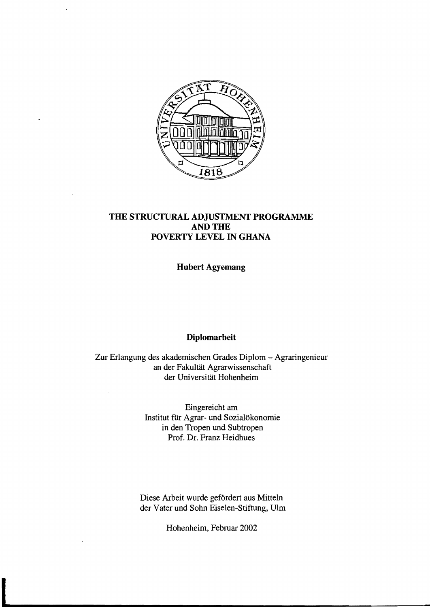

## **THE STRUCTURAL ADJUSTMENT PROGRAMME ANDTHE POVERTY LEVEL IN GHANA**

**Hubert Agyemang** 

## **Diplomarbeit**

Zur Erlangung des akademischen Grades Diplom - Agraringenieur an der Fakultät Agrarwissenschaft der Universität Hohenheim

> Eingereicht am Institut für Agrar- und Sozialökonomie in den Tropen und Subtropen Prof. Dr. Franz Heidhues

Diese Arbeit wurde gefördert aus Mitteln der Vater und Sohn Eiselen-Stiftung, Ulm

Hohenheim, Februar 2002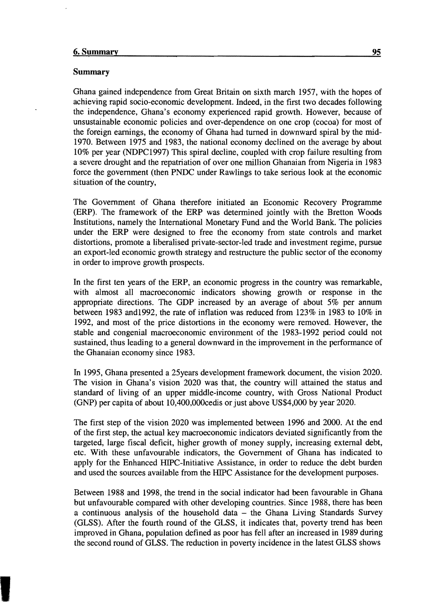## 6. Summary **95**

## Summary

Ghana gained independence from Great Britain on sixth march 1957, with the hopes of achieving rapid socio-economic development. Indeed, in the first two decades following the independence, Ghana's economy experienced rapid growth. However, because of unsustainable economic policies and over-dependence on one crop (cocoa) for most of the foreign earnings, the economy of Ghana had turned in downward spiral by the mid-1970. Between 1975 and 1983, the national economy declined on the average by about 10% per year (NDPC1997) This spiral decline, coupled with crop failure resulting from a severe drought and the repatriation of over one million Ghanaian from Nigeria in 1983 force the government (then PNDC under Rawlings to take serious look at the economic situation of the country,

The Government of Ghana therefore initiated an Economic Recovery Programme (ERP). The framework of the ERP was determined jointly with the Bretton Woods Institutions, namely the International Monetary Fund and the World Bank. The policies under the ERP were designed to free the economy from state controls and market distortions, promote a liberalised private-sector-Ied trade and investment regime, pursue an export-Ied economic growth strategy and restructure the public sector of the economy in order to improve growth prospects.

In the first ten years of the ERP, an economic progress in the country was remarkable, with almost a11 macroeconomic indicators showing growth or response in the appropriate directions. The GDP increased by an average of about  $5\%$  per annum between 1983 and1992, the rate of inflation was reduced from 123% in 1983 to 10% in 1992, and most of the price distortions in the economy were removed. However, the stable and congenial macroeconomic environment of the 1983-1992 period could not sustained, thus leading to a general downward in the improvement in the performance of the Ghanaian economy since 1983.

In 1995, Ghana presented a 25years development framework document, the vision 2020. The vision in Ghana's vision 2020 was that, the country will attained the status and standard of living of an upper middle-income country, with Gross National Product (GNP) per capita of about 1O,400,000cedis or just above US\$4,000 by year 2020.

The first step of the vision 2020 was implemented between 1996 and 2000. At the end of the first step, the actual key macroeconomic indicators deviated significantly from the targeted, large fiscal deficit, higher growth of money supply, increasing external debt, etc. With these unfavourable indicators, the Government of Ghana has indicated to apply for the Enhanced HIPC-Initiative Assistance, in order to reduce the debt burden and used the sources available from the HIPC Assistance for the development purposes.

Between 1988 and 1998, the trend in the social indicator had been favourable in Ghana but unfavourable compared with other developing countries. Since 1988, there has been a continuous analysis of the household data - the Ghana Living Standards Survey (GLSS). After the fourth round of the GLSS, it indicates that, poverty trend has been improved in Ghana, population defined as poor has fell after an increased in 1989 during the second round of GLSS. The reduction in poverty incidence in the latest GLSS shows